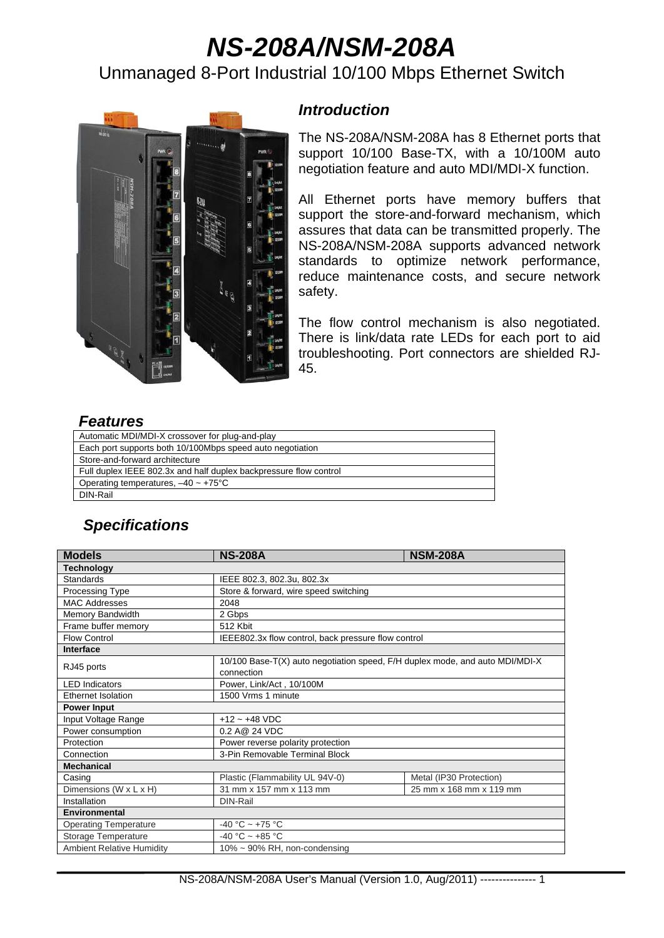# *NS-208A/NSM-208A*

# Unmanaged 8-Port Industrial 10/100 Mbps Ethernet Switch



#### *Introduction*

The NS-208A/NSM-208A has 8 Ethernet ports that support 10/100 Base-TX, with a 10/100M auto negotiation feature and auto MDI/MDI-X function.

All Ethernet ports have memory buffers that support the store-and-forward mechanism, which assures that data can be transmitted properly. The NS-208A/NSM-208A supports advanced network standards to optimize network performance, reduce maintenance costs, and secure network safety.

The flow control mechanism is also negotiated. There is link/data rate LEDs for each port to aid troubleshooting. Port connectors are shielded RJ-45.

## *Features*

| Automatic MDI/MDI-X crossover for plug-and-play                   |
|-------------------------------------------------------------------|
| Each port supports both 10/100Mbps speed auto negotiation         |
| Store-and-forward architecture                                    |
| Full duplex IEEE 802.3x and half duplex backpressure flow control |
| Operating temperatures, $-40 \sim +75^{\circ}$ C                  |
| DIN-Rail                                                          |

# *Specifications*

| <b>Models</b>                    | <b>NS-208A</b>                                                               | <b>NSM-208A</b>         |  |  |
|----------------------------------|------------------------------------------------------------------------------|-------------------------|--|--|
| <b>Technology</b>                |                                                                              |                         |  |  |
| Standards                        | IEEE 802.3, 802.3u, 802.3x                                                   |                         |  |  |
| Processing Type                  | Store & forward, wire speed switching                                        |                         |  |  |
| <b>MAC Addresses</b>             | 2048                                                                         |                         |  |  |
| Memory Bandwidth                 | 2 Gbps                                                                       |                         |  |  |
| Frame buffer memory              | 512 Kbit                                                                     |                         |  |  |
| <b>Flow Control</b>              | IEEE802.3x flow control, back pressure flow control                          |                         |  |  |
| <b>Interface</b>                 |                                                                              |                         |  |  |
| RJ45 ports                       | 10/100 Base-T(X) auto negotiation speed, F/H duplex mode, and auto MDI/MDI-X |                         |  |  |
|                                  | connection                                                                   |                         |  |  |
| <b>LED</b> Indicators            | Power, Link/Act, 10/100M                                                     |                         |  |  |
| Ethernet Isolation               | 1500 Vrms 1 minute                                                           |                         |  |  |
| <b>Power Input</b>               |                                                                              |                         |  |  |
| Input Voltage Range              | $+12 - +48$ VDC                                                              |                         |  |  |
| Power consumption                | 0.2 A@ 24 VDC                                                                |                         |  |  |
| Protection                       | Power reverse polarity protection                                            |                         |  |  |
| Connection                       | 3-Pin Removable Terminal Block                                               |                         |  |  |
| <b>Mechanical</b>                |                                                                              |                         |  |  |
| Casing                           | Plastic (Flammability UL 94V-0)                                              | Metal (IP30 Protection) |  |  |
| Dimensions (W x L x H)           | 31 mm x 157 mm x 113 mm                                                      | 25 mm x 168 mm x 119 mm |  |  |
| Installation                     | DIN-Rail                                                                     |                         |  |  |
| <b>Environmental</b>             |                                                                              |                         |  |  |
| <b>Operating Temperature</b>     | $-40 °C \sim +75 °C$                                                         |                         |  |  |
| Storage Temperature              | -40 °C ~ +85 °C                                                              |                         |  |  |
| <b>Ambient Relative Humidity</b> | $10\% \sim 90\%$ RH, non-condensing                                          |                         |  |  |